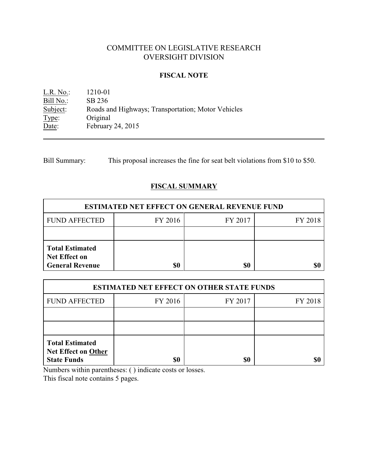# COMMITTEE ON LEGISLATIVE RESEARCH OVERSIGHT DIVISION

### **FISCAL NOTE**

L.R. No.: 1210-01 Bill No.: SB 236<br>Subject: Roads a Roads and Highways; Transportation; Motor Vehicles Type: Original Date: February 24, 2015

Bill Summary: This proposal increases the fine for seat belt violations from \$10 to \$50.

## **FISCAL SUMMARY**

| <b>ESTIMATED NET EFFECT ON GENERAL REVENUE FUND</b>                      |         |         |         |  |
|--------------------------------------------------------------------------|---------|---------|---------|--|
| <b>FUND AFFECTED</b>                                                     | FY 2016 | FY 2017 | FY 2018 |  |
|                                                                          |         |         |         |  |
| <b>Total Estimated</b><br><b>Net Effect on</b><br><b>General Revenue</b> |         | \$0     |         |  |

| <b>ESTIMATED NET EFFECT ON OTHER STATE FUNDS</b>                           |         |         |         |  |
|----------------------------------------------------------------------------|---------|---------|---------|--|
| <b>FUND AFFECTED</b>                                                       | FY 2016 | FY 2017 | FY 2018 |  |
|                                                                            |         |         |         |  |
|                                                                            |         |         |         |  |
| <b>Total Estimated</b><br><b>Net Effect on Other</b><br><b>State Funds</b> | \$0     | \$0     | \$t     |  |

Numbers within parentheses: ( ) indicate costs or losses.

This fiscal note contains 5 pages.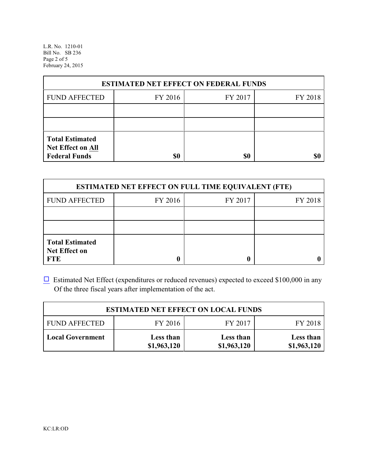L.R. No. 1210-01 Bill No. SB 236 Page 2 of 5 February 24, 2015

| <b>ESTIMATED NET EFFECT ON FEDERAL FUNDS</b>                        |         |         |         |  |
|---------------------------------------------------------------------|---------|---------|---------|--|
| <b>FUND AFFECTED</b>                                                | FY 2016 | FY 2017 | FY 2018 |  |
|                                                                     |         |         |         |  |
|                                                                     |         |         |         |  |
| <b>Total Estimated</b><br>Net Effect on All<br><b>Federal Funds</b> | \$0     | \$0     |         |  |

| <b>ESTIMATED NET EFFECT ON FULL TIME EQUIVALENT (FTE)</b>    |         |         |         |  |
|--------------------------------------------------------------|---------|---------|---------|--|
| <b>FUND AFFECTED</b>                                         | FY 2016 | FY 2017 | FY 2018 |  |
|                                                              |         |         |         |  |
|                                                              |         |         |         |  |
| <b>Total Estimated</b><br><b>Net Effect on</b><br><b>FTE</b> |         |         |         |  |

 $\Box$  Estimated Net Effect (expenditures or reduced revenues) expected to exceed \$100,000 in any Of the three fiscal years after implementation of the act.

| <b>ESTIMATED NET EFFECT ON LOCAL FUNDS</b> |                          |                          |                          |  |
|--------------------------------------------|--------------------------|--------------------------|--------------------------|--|
| <b>FUND AFFECTED</b>                       | FY 2016                  | FY 2017                  | FY 2018                  |  |
| <b>Local Government</b>                    | Less than<br>\$1,963,120 | Less than<br>\$1,963,120 | Less than<br>\$1,963,120 |  |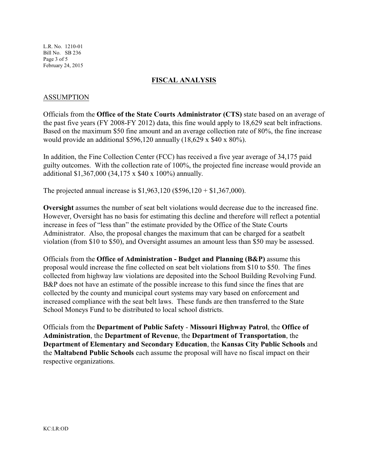L.R. No. 1210-01 Bill No. SB 236 Page 3 of 5 February 24, 2015

### **FISCAL ANALYSIS**

### ASSUMPTION

Officials from the **Office of the State Courts Administrator (CTS)** state based on an average of the past five years (FY 2008-FY 2012) data, this fine would apply to 18,629 seat belt infractions. Based on the maximum \$50 fine amount and an average collection rate of 80%, the fine increase would provide an additional \$596,120 annually (18,629 x \$40 x 80%).

In addition, the Fine Collection Center (FCC) has received a five year average of 34,175 paid guilty outcomes. With the collection rate of 100%, the projected fine increase would provide an additional \$1,367,000 (34,175 x \$40 x 100%) annually.

The projected annual increase is \$1,963,120 (\$596,120 + \$1,367,000).

**Oversight** assumes the number of seat belt violations would decrease due to the increased fine. However, Oversight has no basis for estimating this decline and therefore will reflect a potential increase in fees of "less than" the estimate provided by the Office of the State Courts Administrator. Also, the proposal changes the maximum that can be charged for a seatbelt violation (from \$10 to \$50), and Oversight assumes an amount less than \$50 may be assessed.

Officials from the **Office of Administration - Budget and Planning (B&P)** assume this proposal would increase the fine collected on seat belt violations from \$10 to \$50. The fines collected from highway law violations are deposited into the School Building Revolving Fund. B&P does not have an estimate of the possible increase to this fund since the fines that are collected by the county and municipal court systems may vary based on enforcement and increased compliance with the seat belt laws. These funds are then transferred to the State School Moneys Fund to be distributed to local school districts.

Officials from the **Department of Public Safety** - **Missouri Highway Patrol**, the **Office of Administration**, the **Department of Revenue**, the **Department of Transportation**, the **Department of Elementary and Secondary Education**, the **Kansas City Public Schools** and the **Maltabend Public Schools** each assume the proposal will have no fiscal impact on their respective organizations.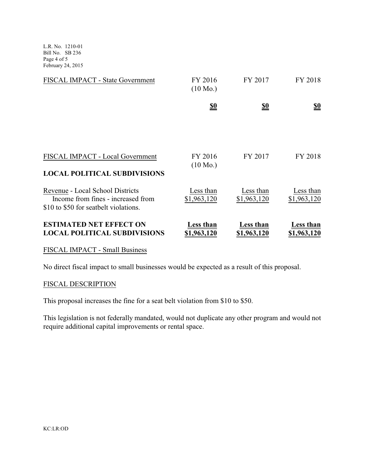L.R. No. 1210-01 Bill No. SB 236 Page 4 of 5 February 24, 2015

| FISCAL IMPACT - State Government                                                                                | FY 2016<br>$(10 \text{ Mo.})$ | FY 2017                         | FY 2018                  |
|-----------------------------------------------------------------------------------------------------------------|-------------------------------|---------------------------------|--------------------------|
|                                                                                                                 | <u>so</u>                     | <u>\$0</u>                      | <u>\$0</u>               |
|                                                                                                                 |                               |                                 |                          |
| FISCAL IMPACT - Local Government<br><b>LOCAL POLITICAL SUBDIVISIONS</b>                                         | FY 2016<br>$(10 \text{ Mo.})$ | FY 2017                         | FY 2018                  |
| Revenue - Local School Districts<br>Income from fines - increased from<br>\$10 to \$50 for seatbelt violations. | Less than<br>\$1,963,120      | Less than<br>\$1,963,120        | Less than<br>\$1,963,120 |
| <b>ESTIMATED NET EFFECT ON</b><br><b>LOCAL POLITICAL SUBDIVISIONS</b>                                           | Less than<br>\$1,963,120      | <b>Less</b> than<br>\$1,963,120 | Less than<br>\$1,963,120 |

#### FISCAL IMPACT - Small Business

No direct fiscal impact to small businesses would be expected as a result of this proposal.

## FISCAL DESCRIPTION

This proposal increases the fine for a seat belt violation from \$10 to \$50.

This legislation is not federally mandated, would not duplicate any other program and would not require additional capital improvements or rental space.